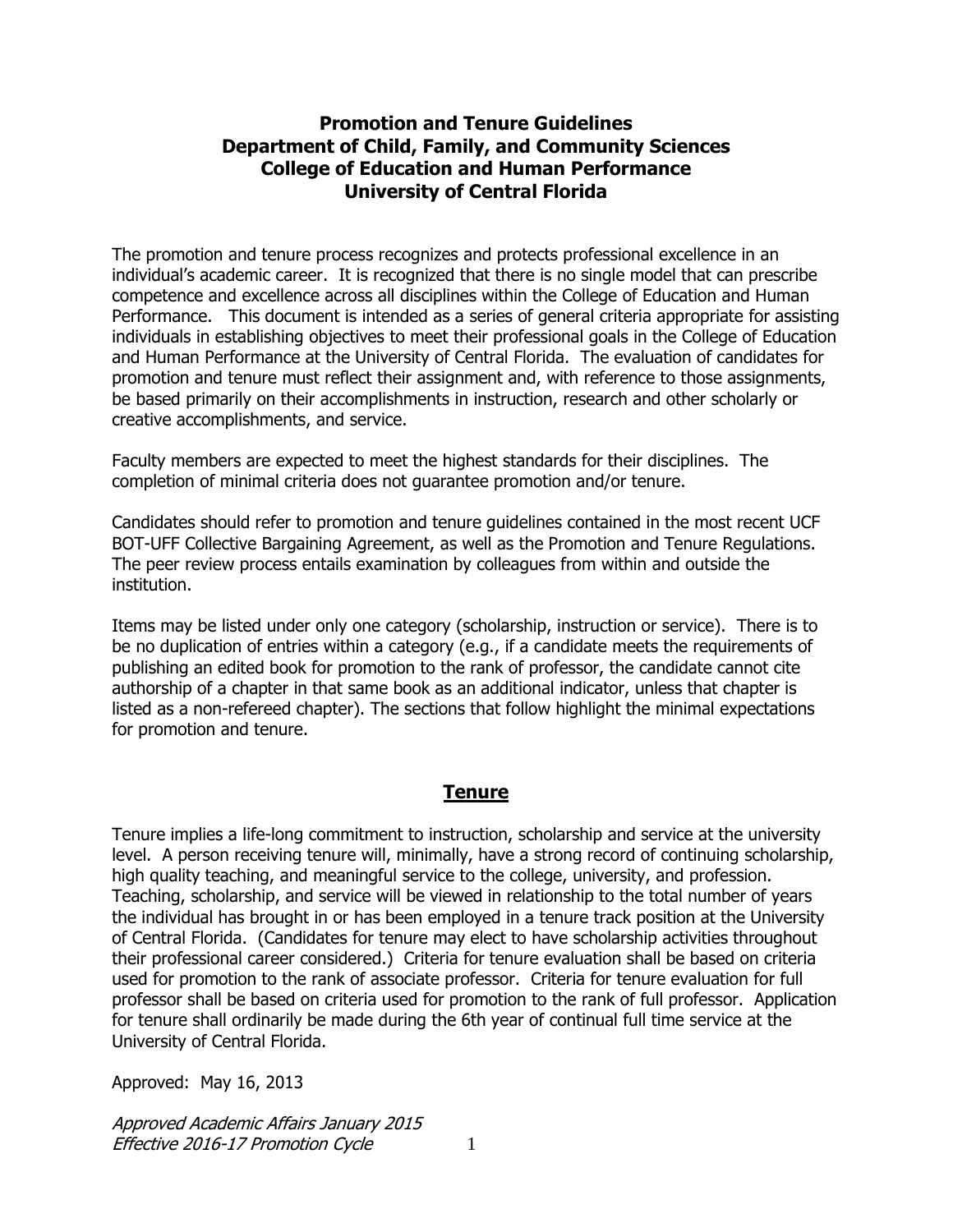#### **Promotion and Tenure Guidelines Department of Child, Family, and Community Sciences College of Education and Human Performance University of Central Florida**

The promotion and tenure process recognizes and protects professional excellence in an individual's academic career. It is recognized that there is no single model that can prescribe competence and excellence across all disciplines within the College of Education and Human Performance. This document is intended as a series of general criteria appropriate for assisting individuals in establishing objectives to meet their professional goals in the College of Education and Human Performance at the University of Central Florida. The evaluation of candidates for promotion and tenure must reflect their assignment and, with reference to those assignments, be based primarily on their accomplishments in instruction, research and other scholarly or creative accomplishments, and service.

Faculty members are expected to meet the highest standards for their disciplines. The completion of minimal criteria does not guarantee promotion and/or tenure.

Candidates should refer to promotion and tenure guidelines contained in the most recent UCF BOT-UFF Collective Bargaining Agreement, as well as the Promotion and Tenure Regulations. The peer review process entails examination by colleagues from within and outside the institution.

Items may be listed under only one category (scholarship, instruction or service). There is to be no duplication of entries within a category (e.g., if a candidate meets the requirements of publishing an edited book for promotion to the rank of professor, the candidate cannot cite authorship of a chapter in that same book as an additional indicator, unless that chapter is listed as a non-refereed chapter). The sections that follow highlight the minimal expectations for promotion and tenure.

## **Tenure**

Tenure implies a life-long commitment to instruction, scholarship and service at the university level. A person receiving tenure will, minimally, have a strong record of continuing scholarship, high quality teaching, and meaningful service to the college, university, and profession. Teaching, scholarship, and service will be viewed in relationship to the total number of years the individual has brought in or has been employed in a tenure track position at the University of Central Florida. (Candidates for tenure may elect to have scholarship activities throughout their professional career considered.) Criteria for tenure evaluation shall be based on criteria used for promotion to the rank of associate professor. Criteria for tenure evaluation for full professor shall be based on criteria used for promotion to the rank of full professor. Application for tenure shall ordinarily be made during the 6th year of continual full time service at the University of Central Florida.

Approved: May 16, 2013

Approved Academic Affairs January 2015 Effective 2016-17 Promotion Cycle 1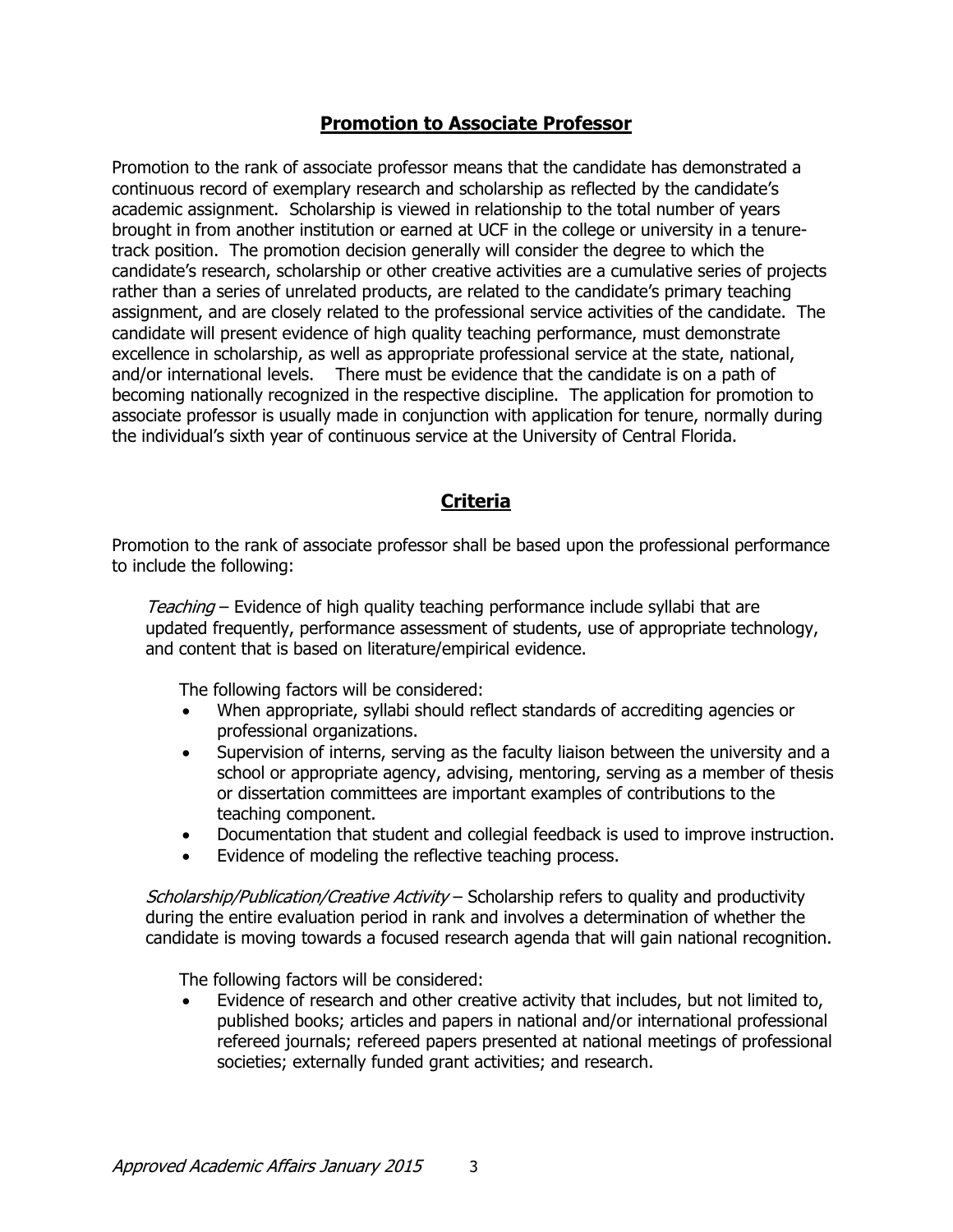#### **Promotion to Associate Professor**

Promotion to the rank of associate professor means that the candidate has demonstrated a continuous record of exemplary research and scholarship as reflected by the candidate's academic assignment. Scholarship is viewed in relationship to the total number of years brought in from another institution or earned at UCF in the college or university in a tenuretrack position. The promotion decision generally will consider the degree to which the candidate's research, scholarship or other creative activities are a cumulative series of projects rather than a series of unrelated products, are related to the candidate's primary teaching assignment, and are closely related to the professional service activities of the candidate. The candidate will present evidence of high quality teaching performance, must demonstrate excellence in scholarship, as well as appropriate professional service at the state, national, and/or international levels. There must be evidence that the candidate is on a path of becoming nationally recognized in the respective discipline. The application for promotion to associate professor is usually made in conjunction with application for tenure, normally during the individual's sixth year of continuous service at the University of Central Florida.

## **Criteria**

Promotion to the rank of associate professor shall be based upon the professional performance to include the following:

Teaching – Evidence of high quality teaching performance include syllabi that are updated frequently, performance assessment of students, use of appropriate technology, and content that is based on literature/empirical evidence.

The following factors will be considered:

- When appropriate, syllabi should reflect standards of accrediting agencies or professional organizations.
- Supervision of interns, serving as the faculty liaison between the university and a school or appropriate agency, advising, mentoring, serving as a member of thesis or dissertation committees are important examples of contributions to the teaching component.
- Documentation that student and collegial feedback is used to improve instruction.
- Evidence of modeling the reflective teaching process.

Scholarship/Publication/Creative Activity – Scholarship refers to quality and productivity during the entire evaluation period in rank and involves a determination of whether the candidate is moving towards a focused research agenda that will gain national recognition.

The following factors will be considered:

 Evidence of research and other creative activity that includes, but not limited to, published books; articles and papers in national and/or international professional refereed journals; refereed papers presented at national meetings of professional societies; externally funded grant activities; and research.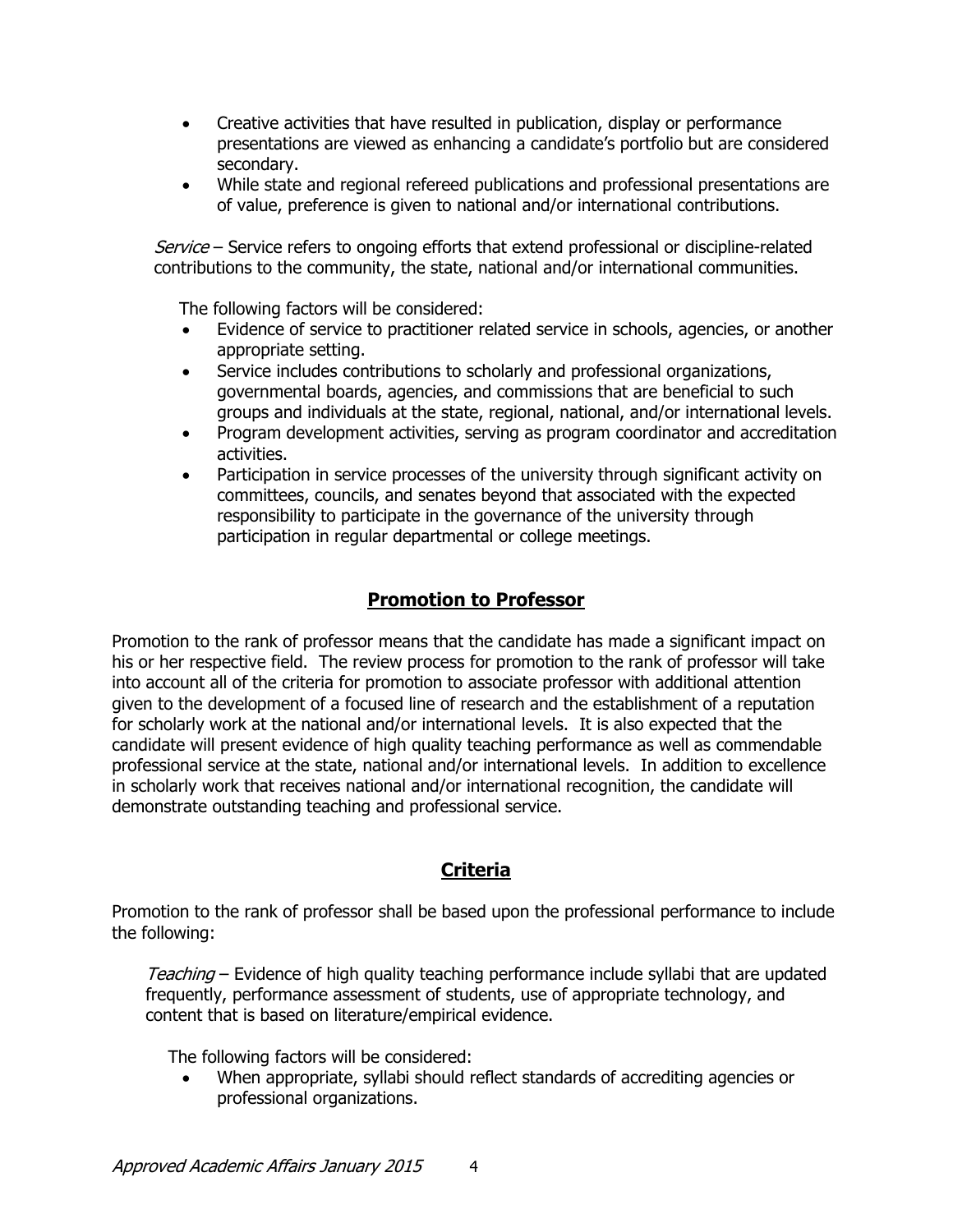- Creative activities that have resulted in publication, display or performance presentations are viewed as enhancing a candidate's portfolio but are considered secondary.
- While state and regional refereed publications and professional presentations are of value, preference is given to national and/or international contributions.

Service – Service refers to ongoing efforts that extend professional or discipline-related contributions to the community, the state, national and/or international communities.

The following factors will be considered:

- Evidence of service to practitioner related service in schools, agencies, or another appropriate setting.
- Service includes contributions to scholarly and professional organizations, governmental boards, agencies, and commissions that are beneficial to such groups and individuals at the state, regional, national, and/or international levels.
- Program development activities, serving as program coordinator and accreditation activities.
- Participation in service processes of the university through significant activity on committees, councils, and senates beyond that associated with the expected responsibility to participate in the governance of the university through participation in regular departmental or college meetings.

## **Promotion to Professor**

Promotion to the rank of professor means that the candidate has made a significant impact on his or her respective field. The review process for promotion to the rank of professor will take into account all of the criteria for promotion to associate professor with additional attention given to the development of a focused line of research and the establishment of a reputation for scholarly work at the national and/or international levels. It is also expected that the candidate will present evidence of high quality teaching performance as well as commendable professional service at the state, national and/or international levels. In addition to excellence in scholarly work that receives national and/or international recognition, the candidate will demonstrate outstanding teaching and professional service.

# **Criteria**

Promotion to the rank of professor shall be based upon the professional performance to include the following:

Teaching – Evidence of high quality teaching performance include syllabi that are updated frequently, performance assessment of students, use of appropriate technology, and content that is based on literature/empirical evidence.

The following factors will be considered:

 When appropriate, syllabi should reflect standards of accrediting agencies or professional organizations.